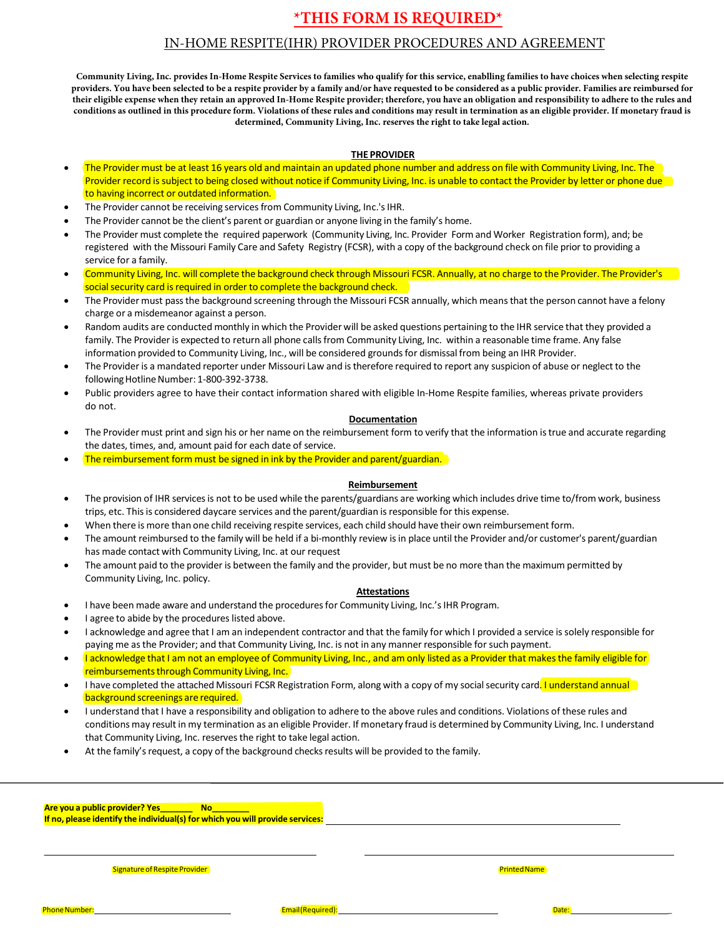# **\*THIS FORM IS REQUIRED\***

# IN-HOME RESPITE(IHR) PROVIDER PROCEDURES AND AGREEMENT

**Community Living, Inc. provides In-Home Respite Services to families who qualify for this service, enablling families to have choices when selecting respite providers. You have been selected to be a respite provider by a family and/or have requested to be considered as a public provider. Families are reimbursed for their eligible expense when they retain an approved In-Home Respite provider; therefore, you have an obligation and responsibility to adhere to the rules and conditions as outlined in this procedure form. Violations of these rules and conditions may result in termination as an eligible provider. If monetary fraud is determined, Community Living, Inc. reserves the right to take legal action.** 

#### **THE PROVIDER**

- The Provider must be at least 16 years old and maintain an updated phone number and address on file with Community Living, Inc. The Provider record is subject to being closed without notice if Community Living, Inc. is unable to contact the Provider by letter or phone due to having incorrect or outdated information.
- The Provider cannot be receiving services from Community Living, Inc.'s IHR.
- The Provider cannot be the client's parent or guardian or anyone living in the family's home.
- The Provider must complete the required paperwork (Community Living, Inc. Provider Form and Worker Registration form), and; be registered with the Missouri Family Care and Safety Registry (FCSR), with a copy of the background check on file prior to providing a service for a family.
- Community Living, Inc. will complete the background check through Missouri FCSR. Annually, at no charge to the Provider. The Provider's social security card is required in order to complete the background check.
- The Provider must pass the background screening through the Missouri FCSR annually, which means that the person cannot have a felony charge or a misdemeanor against a person.
- Random audits are conducted monthly in which the Provider will be asked questions pertaining to the IHR service that they provided a family. The Provider is expected to return all phone calls from Community Living, Inc. within a reasonable time frame. Any false information provided to Community Living, Inc., will be considered grounds for dismissal from being an IHR Provider.
- The Provider is a mandated reporter under Missouri Law and istherefore required to report any suspicion of abuse or neglect to the following Hotline Number: 1-800-392-3738.
- Public providers agree to have their contact information shared with eligible In-Home Respite families, whereas private providers do not.

#### **Documentation**

- The Provider must print and sign his or her name on the reimbursement form to verify that the information is true and accurate regarding the dates, times, and, amount paid for each date of service.
- The reimbursement form must be signed in ink by the Provider and parent/guardian.

#### **Reimbursement**

- The provision of IHR services is not to be used while the parents/guardians are working which includes drive time to/from work, business trips, etc. Thisis considered daycare services and the parent/guardian isresponsible for this expense.
- When there is more than one child receiving respite services, each child should have their own reimbursement form.
- The amount reimbursed to the family will be held if a bi-monthly review is in place until the Provider and/or customer's parent/guardian has made contact with Community Living, Inc. at our request
- The amount paid to the provider is between the family and the provider, but must be no more than the maximum permitted by Community Living, Inc. policy.

#### **Attestations**

- I have been made aware and understand the procedures for Community Living, Inc.'s IHR Program.
- I agree to abide by the procedures listed above.
- I acknowledge and agree that I am an independent contractor and that the family for which I provided a service is solely responsible for paying me asthe Provider; and that Community Living, Inc. is not in any manner responsible for such payment.
- I acknowledge that I am not an employee of Community Living, Inc., and am only listed as a Provider that makesthe family eligible for reimbursements through Community Living, Inc.
- I have completed the attached Missouri FCSR Registration Form, along with a copy of my social security card. I understand annual background screenings are required.
- I understand that I have a responsibility and obligation to adhere to the above rules and conditions. Violations of these rules and conditions may result in my termination as an eligible Provider. If monetary fraud is determined by Community Living, Inc. I understand that Community Living, Inc. reserves the right to take legal action.
- At the family's request, a copy of the background checks results will be provided to the family.

**Are you a public provider? Yes\_\_\_\_\_\_\_ No\_\_\_\_\_\_\_\_ If no, please identify the individual(s) for which you will provide services:** 

Signature of Respite Provider Provider Provider Printed Name in the State of Respite Printed Name in the State of Respite Provider Printed Name in the State of Printed Name in the State of Printed Name in the State of Prin

PhoneNumber: Email(Required): Date: \_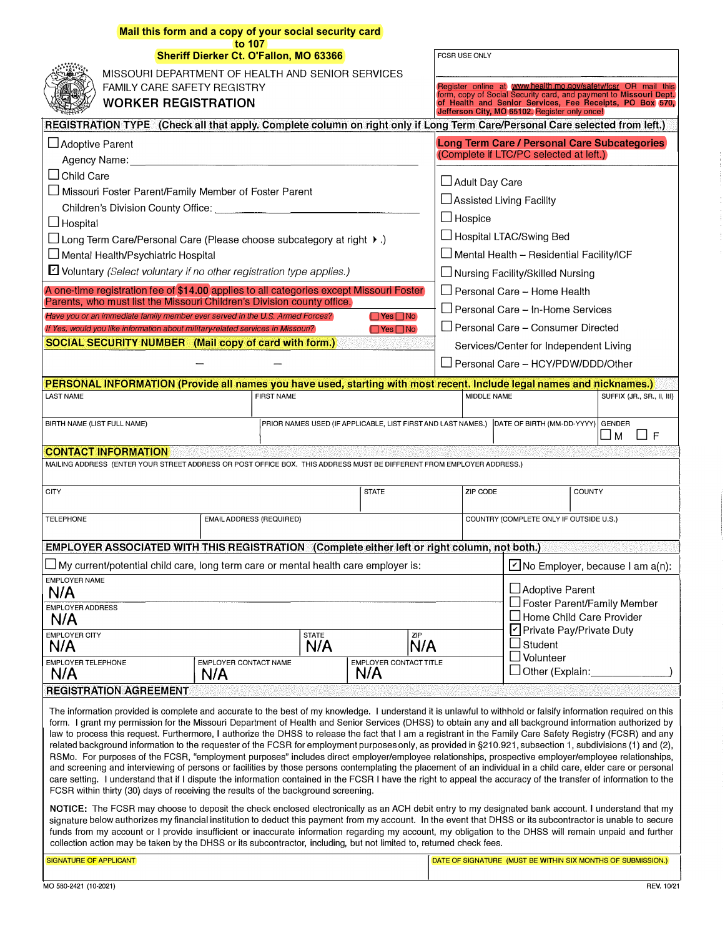| Mail this form and a copy of your social security card |
|--------------------------------------------------------|
| to $107$                                               |
| <b>Sheriff Dierker Ct. O'Fallon, MO 63366</b>          |

|                                                                                                                                                                                                                                                                                                                        | <b>Sheriff Dierker Ct. O'Fallon, MO 63366</b>     |  |                                                                                                   |                           | FCSR USE ONLY                                                                                                                                                                                  |                                               |                          |                            |  |
|------------------------------------------------------------------------------------------------------------------------------------------------------------------------------------------------------------------------------------------------------------------------------------------------------------------------|---------------------------------------------------|--|---------------------------------------------------------------------------------------------------|---------------------------|------------------------------------------------------------------------------------------------------------------------------------------------------------------------------------------------|-----------------------------------------------|--------------------------|----------------------------|--|
|                                                                                                                                                                                                                                                                                                                        | MISSOURI DEPARTMENT OF HEALTH AND SENIOR SERVICES |  |                                                                                                   |                           |                                                                                                                                                                                                |                                               |                          |                            |  |
| FAMILY CARE SAFETY REGISTRY                                                                                                                                                                                                                                                                                            |                                                   |  |                                                                                                   |                           | Register online at www.health.mo.gov/safety/fosr OR mail this<br>form, copy of Social Security card, and payment to Missouri Dept,<br>of Health and Senior Services, Fee Receipts, PO Box 570, |                                               |                          |                            |  |
| <b>WORKER REGISTRATION</b>                                                                                                                                                                                                                                                                                             |                                                   |  |                                                                                                   |                           |                                                                                                                                                                                                | Jefferson City, MO 65102. Register only once! |                          |                            |  |
| REGISTRATION TYPE (Check all that apply. Complete column on right only if Long Term Care/Personal Care selected from left.)                                                                                                                                                                                            |                                                   |  |                                                                                                   |                           |                                                                                                                                                                                                |                                               |                          |                            |  |
| □ Adoptive Parent                                                                                                                                                                                                                                                                                                      |                                                   |  |                                                                                                   |                           | Long Term Care / Personal Care Subcategories<br>(Complete if LTC/PC selected at left.)                                                                                                         |                                               |                          |                            |  |
| Agency Name:                                                                                                                                                                                                                                                                                                           |                                                   |  |                                                                                                   |                           |                                                                                                                                                                                                |                                               |                          |                            |  |
| $\Box$ Child Care                                                                                                                                                                                                                                                                                                      |                                                   |  |                                                                                                   | □ Adult Day Care          |                                                                                                                                                                                                |                                               |                          |                            |  |
| □ Missouri Foster Parent/Family Member of Foster Parent                                                                                                                                                                                                                                                                |                                                   |  |                                                                                                   |                           | $\Box$ Assisted Living Facility                                                                                                                                                                |                                               |                          |                            |  |
| Children's Division County Office:                                                                                                                                                                                                                                                                                     |                                                   |  |                                                                                                   | $\Box$ Hospice            |                                                                                                                                                                                                |                                               |                          |                            |  |
| $\Box$ Hospital<br>$\Box$ Long Term Care/Personal Care (Please choose subcategory at right $\rightarrow$ .)                                                                                                                                                                                                            |                                                   |  |                                                                                                   | □ Hospital LTAC/Swing Bed |                                                                                                                                                                                                |                                               |                          |                            |  |
| □ Mental Health/Psychiatric Hospital                                                                                                                                                                                                                                                                                   |                                                   |  |                                                                                                   |                           | $\Box$ Mental Health – Residential Facility/ICF                                                                                                                                                |                                               |                          |                            |  |
| □ Voluntary (Select voluntary if no other registration type applies.)                                                                                                                                                                                                                                                  |                                                   |  |                                                                                                   |                           | □ Nursing Facility/Skilled Nursing                                                                                                                                                             |                                               |                          |                            |  |
| A one-time registration fee of \$14.00 applies to all categories except Missouri Foster                                                                                                                                                                                                                                |                                                   |  |                                                                                                   |                           | □ Personal Care - Home Health                                                                                                                                                                  |                                               |                          |                            |  |
| Parents, who must list the Missouri Children's Division county office.                                                                                                                                                                                                                                                 |                                                   |  |                                                                                                   |                           |                                                                                                                                                                                                | $\Box$ Personal Care - In-Home Services       |                          |                            |  |
| Have you or an immediate family member ever served in the U.S. Armed Forces?                                                                                                                                                                                                                                           |                                                   |  | $\Box$ Yes $\Box$ No                                                                              |                           |                                                                                                                                                                                                | □ Personal Care - Consumer Directed           |                          |                            |  |
| If Yes, would you like information about military-related services in Missouri?<br><b>SOCIAL SECURITY NUMBER</b> (Mail copy of card with form.)                                                                                                                                                                        |                                                   |  | $\Box$ Yes $\Box$ No                                                                              |                           |                                                                                                                                                                                                |                                               |                          |                            |  |
|                                                                                                                                                                                                                                                                                                                        |                                                   |  |                                                                                                   |                           |                                                                                                                                                                                                | Services/Center for Independent Living        |                          |                            |  |
|                                                                                                                                                                                                                                                                                                                        |                                                   |  |                                                                                                   |                           |                                                                                                                                                                                                | Personal Care - HCY/PDW/DDD/Other             |                          |                            |  |
| PERSONAL INFORMATION (Provide all names you have used, starting with most recent. Include legal names and nicknames.)<br><b>LAST NAME</b>                                                                                                                                                                              | <b>FIRST NAME</b>                                 |  |                                                                                                   |                           | MIDDLE NAME                                                                                                                                                                                    |                                               |                          | SUFFIX (JR., SR., II, III) |  |
|                                                                                                                                                                                                                                                                                                                        |                                                   |  |                                                                                                   |                           |                                                                                                                                                                                                |                                               |                          |                            |  |
| BIRTH NAME (LIST FULL NAME)                                                                                                                                                                                                                                                                                            |                                                   |  | PRIOR NAMES USED (IF APPLICABLE, LIST FIRST AND LAST NAMES.)  DATE OF BIRTH (MM-DD-YYYY)   GENDER |                           |                                                                                                                                                                                                |                                               |                          |                            |  |
|                                                                                                                                                                                                                                                                                                                        |                                                   |  |                                                                                                   |                           |                                                                                                                                                                                                |                                               |                          | ⊔м<br>」F                   |  |
| <b>CONTACT INFORMATION</b><br>MAILING ADDRESS (ENTER YOUR STREET ADDRESS OR POST OFFICE BOX. THIS ADDRESS MUST BE DIFFERENT FROM EMPLOYER ADDRESS.)                                                                                                                                                                    |                                                   |  |                                                                                                   |                           |                                                                                                                                                                                                |                                               |                          |                            |  |
|                                                                                                                                                                                                                                                                                                                        |                                                   |  |                                                                                                   |                           |                                                                                                                                                                                                |                                               |                          |                            |  |
| <b>CITY</b>                                                                                                                                                                                                                                                                                                            |                                                   |  | <b>STATE</b>                                                                                      |                           | ZIP CODE                                                                                                                                                                                       |                                               | <b>COUNTY</b>            |                            |  |
| <b>TELEPHONE</b>                                                                                                                                                                                                                                                                                                       | <b>EMAIL ADDRESS (REQUIRED)</b>                   |  |                                                                                                   |                           |                                                                                                                                                                                                | COUNTRY (COMPLETE ONLY IF OUTSIDE U.S.)       |                          |                            |  |
|                                                                                                                                                                                                                                                                                                                        |                                                   |  |                                                                                                   |                           |                                                                                                                                                                                                |                                               |                          |                            |  |
| EMPLOYER ASSOCIATED WITH THIS REGISTRATION (Complete either left or right column, not both.)                                                                                                                                                                                                                           |                                                   |  |                                                                                                   |                           |                                                                                                                                                                                                |                                               |                          |                            |  |
| $\Box$ My current/potential child care, long term care or mental health care employer is:                                                                                                                                                                                                                              |                                                   |  |                                                                                                   |                           | $\angle$ No Employer, because I am a(n):                                                                                                                                                       |                                               |                          |                            |  |
| EMPLOYER NAME<br>N/A                                                                                                                                                                                                                                                                                                   |                                                   |  |                                                                                                   |                           |                                                                                                                                                                                                | □ Adoptive Parent                             |                          |                            |  |
| <b>EMPLOYER ADDRESS</b>                                                                                                                                                                                                                                                                                                |                                                   |  |                                                                                                   |                           |                                                                                                                                                                                                | $\Box$ Foster Parent/Family Member            |                          |                            |  |
| N/A                                                                                                                                                                                                                                                                                                                    |                                                   |  |                                                                                                   |                           |                                                                                                                                                                                                | $\Box$ Home Child Care Provider               |                          |                            |  |
| <b>EMPLOYER CITY</b><br><b>STATE</b><br>ZIP<br><b>N/A</b><br>N/A<br>N/A                                                                                                                                                                                                                                                |                                                   |  |                                                                                                   |                           |                                                                                                                                                                                                | Student                                       | Private Pay/Private Duty |                            |  |
| <b>EMPLOYER TELEPHONE</b>                                                                                                                                                                                                                                                                                              | <b>EMPLOYER CONTACT NAME</b>                      |  | EMPLOYER CONTACT TITLE                                                                            |                           |                                                                                                                                                                                                | $\Box$ Volunteer                              |                          |                            |  |
| N/A                                                                                                                                                                                                                                                                                                                    | N/A                                               |  | N/A                                                                                               |                           |                                                                                                                                                                                                | ∟Other (Explain:_                             |                          |                            |  |
| <b>REGISTRATION AGREEMENT</b>                                                                                                                                                                                                                                                                                          |                                                   |  |                                                                                                   |                           |                                                                                                                                                                                                |                                               |                          |                            |  |
| The information provided is complete and accurate to the best of my knowledge. I understand it is unlawful to withhold or falsify information required on this                                                                                                                                                         |                                                   |  |                                                                                                   |                           |                                                                                                                                                                                                |                                               |                          |                            |  |
| form. I grant my permission for the Missouri Department of Health and Senior Services (DHSS) to obtain any and all background information authorized by<br>law to process this request. Furthermore, I authorize the DHSS to release the fact that I am a registrant in the Family Care Safety Registry (FCSR) and any |                                                   |  |                                                                                                   |                           |                                                                                                                                                                                                |                                               |                          |                            |  |
| related background information to the requester of the FCSR for employment purposes only, as provided in §210.921, subsection 1, subdivisions (1) and (2),                                                                                                                                                             |                                                   |  |                                                                                                   |                           |                                                                                                                                                                                                |                                               |                          |                            |  |
| RSMo. For purposes of the FCSR, "employment purposes" includes direct employer/employee relationships, prospective employer/employee relationships,<br>and screening and interviewing of persons or facilities by those persons contemplating the placement of an individual in a child care, elder care or personal   |                                                   |  |                                                                                                   |                           |                                                                                                                                                                                                |                                               |                          |                            |  |
| care setting. I understand that if I dispute the information contained in the FCSR I have the right to appeal the accuracy of the transfer of information to the                                                                                                                                                       |                                                   |  |                                                                                                   |                           |                                                                                                                                                                                                |                                               |                          |                            |  |
| FCSR within thirty (30) days of receiving the results of the background screening.                                                                                                                                                                                                                                     |                                                   |  |                                                                                                   |                           |                                                                                                                                                                                                |                                               |                          |                            |  |

**NOTICE:** The FCSR may choose to deposit the check enclosed electronically as an ACH debit entry to my designated bank account. I understand that my signature below authorizes my financial institution to deduct this payment from my account. In the event that DHSS or its subcontractor is unable to secure funds from my account or I provide insufficient or inaccurate information regarding my account, my obligation to the DHSS will remain unpaid and further collection action may be taken by the DHSS or its subcontractor, including, but not limited to, returned check fees.

SIGNATURE OF APPLICANT STRUCANT AND RESERVE THE OF SIGNATURE (MUST BE WITHIN SIX MONTHS OF SUBMISSION.)